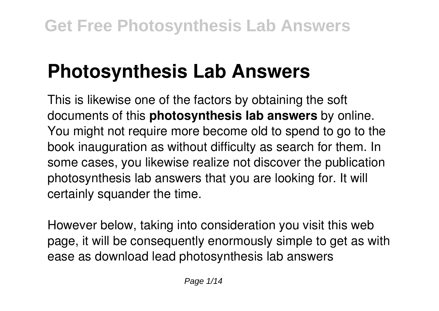# **Photosynthesis Lab Answers**

This is likewise one of the factors by obtaining the soft documents of this **photosynthesis lab answers** by online. You might not require more become old to spend to go to the book inauguration as without difficulty as search for them. In some cases, you likewise realize not discover the publication photosynthesis lab answers that you are looking for. It will certainly squander the time.

However below, taking into consideration you visit this web page, it will be consequently enormously simple to get as with ease as download lead photosynthesis lab answers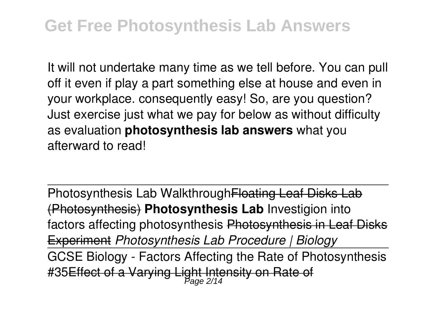### **Get Free Photosynthesis Lab Answers**

It will not undertake many time as we tell before. You can pull off it even if play a part something else at house and even in your workplace. consequently easy! So, are you question? Just exercise just what we pay for below as without difficulty as evaluation **photosynthesis lab answers** what you afterward to read!

Photosynthesis Lab Walkthrough Floating Leaf Disks Lab (Photosynthesis) **Photosynthesis Lab** Investigion into factors affecting photosynthesis Photosynthesis in Leaf Disks Experiment *Photosynthesis Lab Procedure | Biology* GCSE Biology - Factors Affecting the Rate of Photosynthesis #35<del>Effect of a Varying Light Intensity on Rate of</del>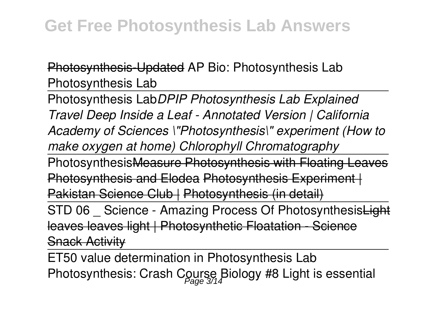Photosynthesis-Updated AP Bio: Photosynthesis Lab Photosynthesis Lab

Photosynthesis Lab*DPIP Photosynthesis Lab Explained Travel Deep Inside a Leaf - Annotated Version | California Academy of Sciences \"Photosynthesis\" experiment (How to make oxygen at home) Chlorophyll Chromatography*

PhotosynthesisMeasure Photosynthesis with Floating Leaves **Photosynthesis and Elodea Photosynthesis Experiment |** 

Pakistan Science Club | Photosynthesis (in detail)

STD 06 Science - Amazing Process Of PhotosynthesisLight leaves leaves light | Photosynthetic Floatation - Science **Snack Activity** 

ET50 value determination in Photosynthesis Lab Photosynthesis: Crash Course Biology #8 Light is essential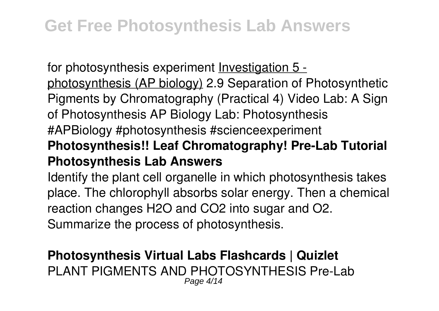### **Get Free Photosynthesis Lab Answers**

for photosynthesis experiment Investigation 5 photosynthesis (AP biology) 2.9 Separation of Photosynthetic Pigments by Chromatography (Practical 4) Video Lab: A Sign of Photosynthesis AP Biology Lab: Photosynthesis #APBiology #photosynthesis #scienceexperiment **Photosynthesis!! Leaf Chromatography! Pre-Lab Tutorial Photosynthesis Lab Answers**

Identify the plant cell organelle in which photosynthesis takes place. The chlorophyll absorbs solar energy. Then a chemical reaction changes H2O and CO2 into sugar and O2. Summarize the process of photosynthesis.

#### **Photosynthesis Virtual Labs Flashcards | Quizlet** PLANT PIGMENTS AND PHOTOSYNTHESIS Pre-Lab Page 4/14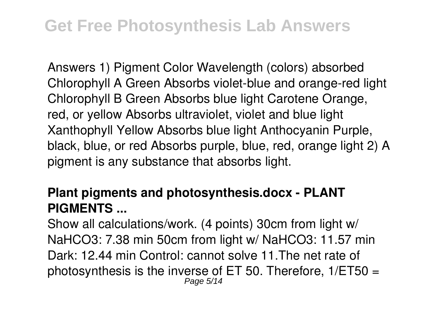Answers 1) Pigment Color Wavelength (colors) absorbed Chlorophyll A Green Absorbs violet-blue and orange-red light Chlorophyll B Green Absorbs blue light Carotene Orange, red, or yellow Absorbs ultraviolet, violet and blue light Xanthophyll Yellow Absorbs blue light Anthocyanin Purple, black, blue, or red Absorbs purple, blue, red, orange light 2) A pigment is any substance that absorbs light.

#### **Plant pigments and photosynthesis.docx - PLANT PIGMENTS ...**

Show all calculations/work. (4 points) 30cm from light w/ NaHCO3: 7.38 min 50cm from light w/ NaHCO3: 11.57 min Dark: 12.44 min Control: cannot solve 11.The net rate of photosynthesis is the inverse of ET 50. Therefore, 1/ET50 = Page 5/14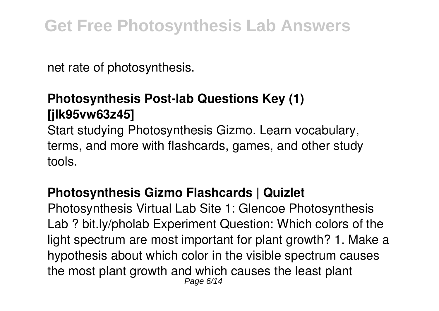net rate of photosynthesis.

### **Photosynthesis Post-lab Questions Key (1) [jlk95vw63z45]**

Start studying Photosynthesis Gizmo. Learn vocabulary, terms, and more with flashcards, games, and other study tools.

#### **Photosynthesis Gizmo Flashcards | Quizlet**

Photosynthesis Virtual Lab Site 1: Glencoe Photosynthesis Lab ? bit.ly/pholab Experiment Question: Which colors of the light spectrum are most important for plant growth? 1. Make a hypothesis about which color in the visible spectrum causes the most plant growth and which causes the least plant Page 6/14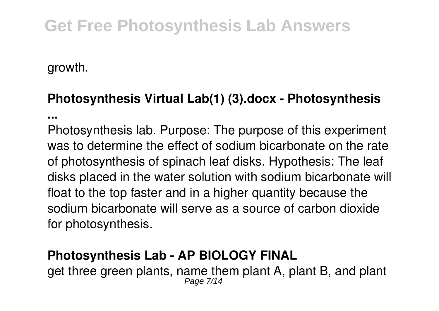## **Get Free Photosynthesis Lab Answers**

growth.

#### **Photosynthesis Virtual Lab(1) (3).docx - Photosynthesis**

**...**

Photosynthesis lab. Purpose: The purpose of this experiment was to determine the effect of sodium bicarbonate on the rate of photosynthesis of spinach leaf disks. Hypothesis: The leaf disks placed in the water solution with sodium bicarbonate will float to the top faster and in a higher quantity because the sodium bicarbonate will serve as a source of carbon dioxide for photosynthesis.

#### **Photosynthesis Lab - AP BIOLOGY FINAL**

get three green plants, name them plant A, plant B, and plant Page 7/14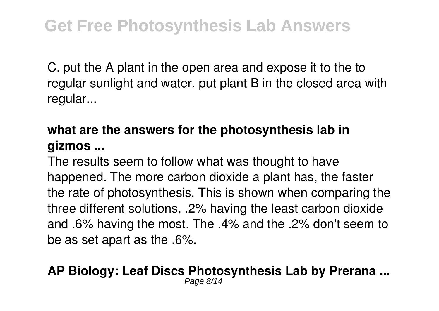C. put the A plant in the open area and expose it to the to regular sunlight and water. put plant B in the closed area with regular...

#### **what are the answers for the photosynthesis lab in gizmos ...**

The results seem to follow what was thought to have happened. The more carbon dioxide a plant has, the faster the rate of photosynthesis. This is shown when comparing the three different solutions, .2% having the least carbon dioxide and .6% having the most. The .4% and the .2% don't seem to be as set apart as the .6%.

#### **AP Biology: Leaf Discs Photosynthesis Lab by Prerana ...** Page 8/14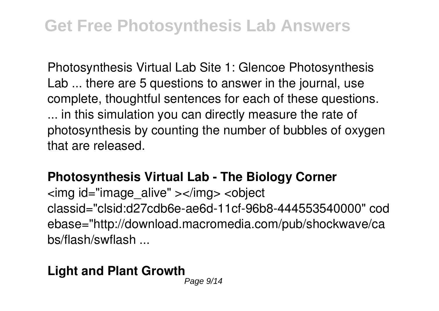Photosynthesis Virtual Lab Site 1: Glencoe Photosynthesis Lab ... there are 5 questions to answer in the journal, use complete, thoughtful sentences for each of these questions. ... in this simulation you can directly measure the rate of photosynthesis by counting the number of bubbles of oxygen that are released.

#### **Photosynthesis Virtual Lab - The Biology Corner**

<img id="image\_alive" ></img> <object classid="clsid:d27cdb6e-ae6d-11cf-96b8-444553540000" cod ebase="http://download.macromedia.com/pub/shockwave/ca bs/flash/swflash ...

#### **Light and Plant Growth**

Page  $9/14$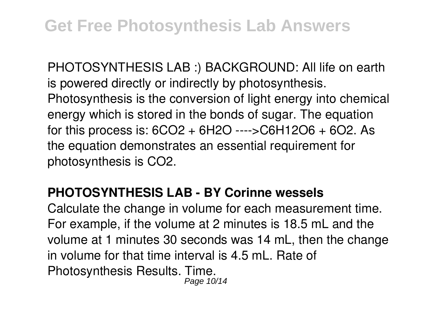PHOTOSYNTHESIS LAB :) BACKGROUND: All life on earth is powered directly or indirectly by photosynthesis. Photosynthesis is the conversion of light energy into chemical energy which is stored in the bonds of sugar. The equation for this process is: 6CO2 + 6H2O ---->C6H12O6 + 6O2. As the equation demonstrates an essential requirement for photosynthesis is CO2.

#### **PHOTOSYNTHESIS LAB - BY Corinne wessels**

Calculate the change in volume for each measurement time. For example, if the volume at 2 minutes is 18.5 mL and the volume at 1 minutes 30 seconds was 14 mL, then the change in volume for that time interval is 4.5 mL. Rate of Photosynthesis Results. Time. Page 10/14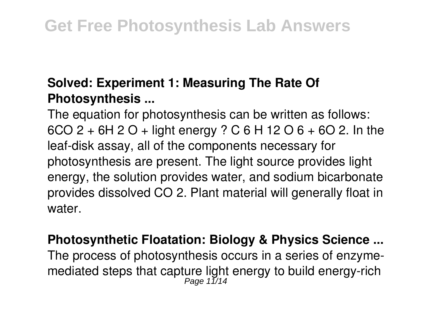#### **Solved: Experiment 1: Measuring The Rate Of Photosynthesis ...**

The equation for photosynthesis can be written as follows: 6CO 2 + 6H 2 O + light energy ? C 6 H 12 O 6 + 6O 2. In the leaf-disk assay, all of the components necessary for photosynthesis are present. The light source provides light energy, the solution provides water, and sodium bicarbonate provides dissolved CO 2. Plant material will generally float in water.

## **Photosynthetic Floatation: Biology & Physics Science ...** The process of photosynthesis occurs in a series of enzymemediated steps that capture light energy to build energy-rich<br>Page 11/14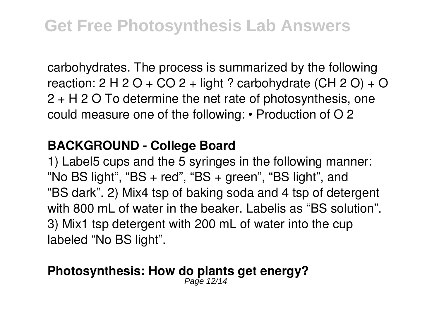carbohydrates. The process is summarized by the following reaction:  $2 H 2 O + CO 2 + light ?$  carbohydrate  $(CH 2 O) + O$ 2 + H 2 O To determine the net rate of photosynthesis, one could measure one of the following: • Production of O 2

#### **BACKGROUND - College Board**

1) Label5 cups and the 5 syringes in the following manner: "No BS light", "BS  $+$  red", "BS  $+$  green", "BS light", and "BS dark". 2) Mix4 tsp of baking soda and 4 tsp of detergent with 800 mL of water in the beaker. Labelis as "BS solution". 3) Mix1 tsp detergent with 200 mL of water into the cup labeled "No BS light".

# **Photosynthesis: How do plants get energy?** Page 12/14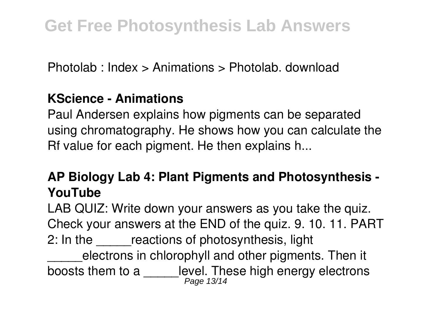Photolab : Index > Animations > Photolab. download

#### **KScience - Animations**

Paul Andersen explains how pigments can be separated using chromatography. He shows how you can calculate the Rf value for each pigment. He then explains h...

#### **AP Biology Lab 4: Plant Pigments and Photosynthesis - YouTube**

LAB QUIZ: Write down your answers as you take the quiz. Check your answers at the END of the quiz. 9. 10. 11. PART 2: In the reactions of photosynthesis, light electrons in chlorophyll and other pigments. Then it boosts them to a \_\_\_\_\_level. These high energy electrons<br> $P_{\text{age 13/14}}$